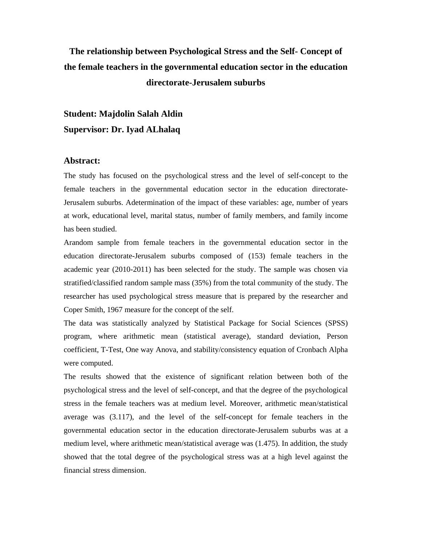## **The relationship between Psychological Stress and the Self- Concept of the female teachers in the governmental education sector in the education directorate-Jerusalem suburbs**

**Student: Majdolin Salah Aldin Supervisor: Dr. Iyad ALhalaq** 

## **Abstract:**

The study has focused on the psychological stress and the level of self-concept to the female teachers in the governmental education sector in the education directorate-Jerusalem suburbs. Adetermination of the impact of these variables: age, number of years at work, educational level, marital status, number of family members, and family income has been studied.

Arandom sample from female teachers in the governmental education sector in the education directorate-Jerusalem suburbs composed of (153) female teachers in the academic year (2010-2011) has been selected for the study. The sample was chosen via stratified/classified random sample mass (35%) from the total community of the study. The researcher has used psychological stress measure that is prepared by the researcher and Coper Smith, 1967 measure for the concept of the self.

The data was statistically analyzed by Statistical Package for Social Sciences (SPSS) program, where arithmetic mean (statistical average), standard deviation, Person coefficient, T-Test, One way Anova, and stability/consistency equation of Cronbach Alpha were computed.

The results showed that the existence of significant relation between both of the psychological stress and the level of self-concept, and that the degree of the psychological stress in the female teachers was at medium level. Moreover, arithmetic mean/statistical average was (3.117), and the level of the self-concept for female teachers in the governmental education sector in the education directorate-Jerusalem suburbs was at a medium level, where arithmetic mean/statistical average was (1.475). In addition, the study showed that the total degree of the psychological stress was at a high level against the financial stress dimension.